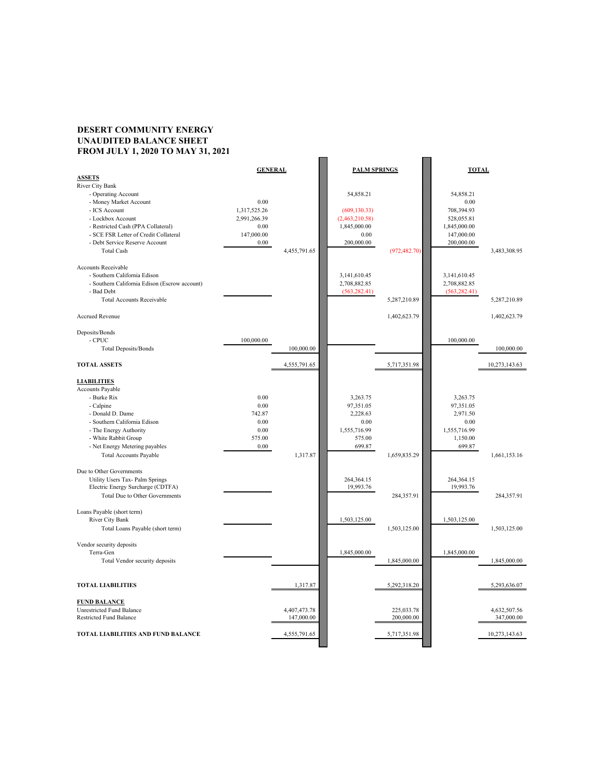## **DESERT COMMUNITY ENERGY UNAUDITED BALANCE SHEET FROM JULY 1, 2020 TO MAY 31, 2021**

| 1 ROM 9011 1, 2020 TO MILL                    |                |              |                     |               |               |               |
|-----------------------------------------------|----------------|--------------|---------------------|---------------|---------------|---------------|
|                                               | <b>GENERAL</b> |              |                     |               |               |               |
|                                               |                |              | <b>PALM SPRINGS</b> |               | <b>TOTAL</b>  |               |
| <b>ASSETS</b>                                 |                |              |                     |               |               |               |
| River City Bank                               |                |              |                     |               |               |               |
| - Operating Account                           |                |              | 54,858.21           |               | 54,858.21     |               |
| - Money Market Account                        | 0.00           |              |                     |               | 0.00          |               |
| - ICS Account                                 | 1,317,525.26   |              | (609, 130.33)       |               | 708,394.93    |               |
| - Lockbox Account                             | 2,991,266.39   |              | (2,463,210.58)      |               | 528,055.81    |               |
| - Restricted Cash (PPA Collateral)            | 0.00           |              | 1,845,000.00        |               | 1,845,000.00  |               |
| - SCE FSR Letter of Credit Collateral         | 147,000.00     |              | 0.00                |               | 147,000.00    |               |
| - Debt Service Reserve Account                | 0.00           |              | 200,000.00          |               | 200,000.00    |               |
| <b>Total Cash</b>                             |                | 4,455,791.65 |                     |               |               |               |
|                                               |                |              |                     | (972, 482.70) |               | 3,483,308.95  |
| Accounts Receivable                           |                |              |                     |               |               |               |
| - Southern California Edison                  |                |              |                     |               |               |               |
|                                               |                |              | 3,141,610.45        |               | 3,141,610.45  |               |
| - Southern California Edison (Escrow account) |                |              | 2,708,882.85        |               | 2,708,882.85  |               |
| - Bad Debt                                    |                |              | (563, 282.41)       |               | (563, 282.41) |               |
| <b>Total Accounts Receivable</b>              |                |              |                     | 5,287,210.89  |               | 5,287,210.89  |
|                                               |                |              |                     |               |               |               |
| Accrued Revenue                               |                |              |                     | 1,402,623.79  |               | 1,402,623.79  |
|                                               |                |              |                     |               |               |               |
| Deposits/Bonds                                |                |              |                     |               |               |               |
| $-$ CPUC                                      | 100,000.00     |              |                     |               | 100,000.00    |               |
| Total Deposits/Bonds                          |                | 100,000.00   |                     |               |               | 100,000.00    |
| <b>TOTAL ASSETS</b>                           |                | 4,555,791.65 |                     | 5,717,351.98  |               | 10,273,143.63 |
|                                               |                |              |                     |               |               |               |
| <b>LIABILITIES</b>                            |                |              |                     |               |               |               |
| Accounts Payable                              |                |              |                     |               |               |               |
|                                               |                |              |                     |               |               |               |
| - Burke Rix                                   | 0.00           |              | 3,263.75            |               | 3,263.75      |               |
| - Calpine                                     | 0.00           |              | 97,351.05           |               | 97,351.05     |               |
| - Donald D. Dame                              | 742.87         |              | 2,228.63            |               | 2,971.50      |               |
| - Southern California Edison                  | $0.00\,$       |              | 0.00                |               | 0.00          |               |
| - The Energy Authority                        | 0.00           |              | 1,555,716.99        |               | 1,555,716.99  |               |
| - White Rabbit Group                          | 575.00         |              | 575.00              |               | 1,150.00      |               |
| - Net Energy Metering payables                | 0.00           |              | 699.87              |               | 699.87        |               |
| <b>Total Accounts Payable</b>                 |                | 1,317.87     |                     | 1,659,835.29  |               | 1,661,153.16  |
|                                               |                |              |                     |               |               |               |
| Due to Other Governments                      |                |              |                     |               |               |               |
| Utility Users Tax- Palm Springs               |                |              | 264, 364. 15        |               | 264, 364. 15  |               |
| Electric Energy Surcharge (CDTFA)             |                |              | 19,993.76           |               | 19,993.76     |               |
|                                               |                |              |                     |               |               |               |
| Total Due to Other Governments                |                |              |                     | 284,357.91    |               | 284,357.91    |
|                                               |                |              |                     |               |               |               |
| Loans Payable (short term)                    |                |              |                     |               |               |               |
| River City Bank                               |                |              | 1,503,125.00        |               | 1,503,125.00  |               |
| Total Loans Payable (short term)              |                |              |                     | 1,503,125.00  |               | 1,503,125.00  |
|                                               |                |              |                     |               |               |               |
| Vendor security deposits                      |                |              |                     |               |               |               |
| Terra-Gen                                     |                |              | 1,845,000.00        |               | 1,845,000.00  |               |
| Total Vendor security deposits                |                |              |                     | 1,845,000.00  |               | 1,845,000.00  |
|                                               |                |              |                     |               |               |               |
|                                               |                |              |                     |               |               |               |
| <b>TOTAL LIABILITIES</b>                      |                | 1,317.87     |                     | 5,292,318.20  |               | 5,293,636.07  |
|                                               |                |              |                     |               |               |               |
| <b>FUND BALANCE</b>                           |                |              |                     |               |               |               |
| Unrestricted Fund Balance                     |                | 4,407,473.78 |                     | 225,033.78    |               | 4,632,507.56  |
| <b>Restricted Fund Balance</b>                |                | 147,000.00   |                     | 200,000.00    |               | 347,000.00    |
|                                               |                |              |                     |               |               |               |
| TOTAL LIABILITIES AND FUND BALANCE            |                | 4,555,791.65 |                     | 5,717,351.98  |               | 10,273,143.63 |
|                                               |                |              |                     |               |               |               |